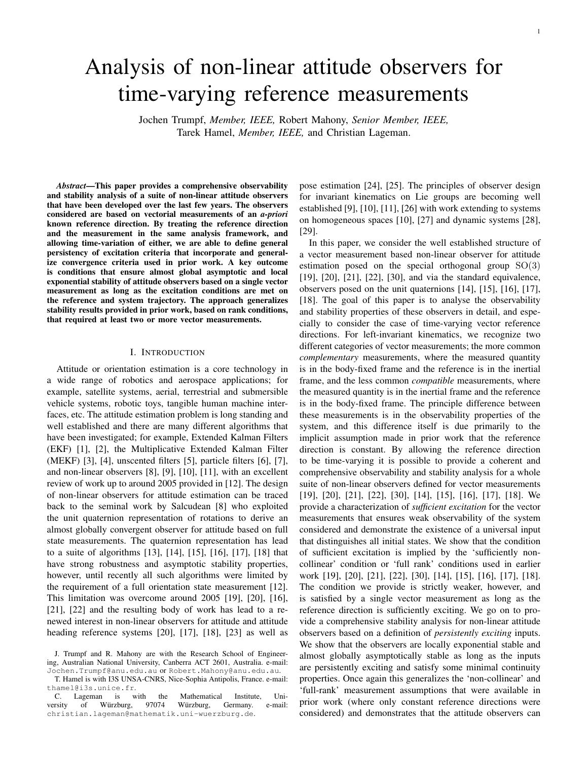# Analysis of non-linear attitude observers for time-varying reference measurements

Jochen Trumpf, *Member, IEEE,* Robert Mahony, *Senior Member, IEEE,* Tarek Hamel, *Member, IEEE,* and Christian Lageman.

*Abstract*—This paper provides a comprehensive observability and stability analysis of a suite of non-linear attitude observers that have been developed over the last few years. The observers considered are based on vectorial measurements of an *a-priori* known reference direction. By treating the reference direction and the measurement in the same analysis framework, and allowing time-variation of either, we are able to define general persistency of excitation criteria that incorporate and generalize convergence criteria used in prior work. A key outcome is conditions that ensure almost global asymptotic and local exponential stability of attitude observers based on a single vector measurement as long as the excitation conditions are met on the reference and system trajectory. The approach generalizes stability results provided in prior work, based on rank conditions, that required at least two or more vector measurements.

# I. INTRODUCTION

Attitude or orientation estimation is a core technology in a wide range of robotics and aerospace applications; for example, satellite systems, aerial, terrestrial and submersible vehicle systems, robotic toys, tangible human machine interfaces, etc. The attitude estimation problem is long standing and well established and there are many different algorithms that have been investigated; for example, Extended Kalman Filters (EKF) [1], [2], the Multiplicative Extended Kalman Filter (MEKF) [3], [4], unscented filters [5], particle filters [6], [7], and non-linear observers [8], [9], [10], [11], with an excellent review of work up to around 2005 provided in [12]. The design of non-linear observers for attitude estimation can be traced back to the seminal work by Salcudean [8] who exploited the unit quaternion representation of rotations to derive an almost globally convergent observer for attitude based on full state measurements. The quaternion representation has lead to a suite of algorithms [13], [14], [15], [16], [17], [18] that have strong robustness and asymptotic stability properties, however, until recently all such algorithms were limited by the requirement of a full orientation state measurement [12]. This limitation was overcome around 2005 [19], [20], [16], [21], [22] and the resulting body of work has lead to a renewed interest in non-linear observers for attitude and attitude heading reference systems [20], [17], [18], [23] as well as

pose estimation [24], [25]. The principles of observer design for invariant kinematics on Lie groups are becoming well established [9], [10], [11], [26] with work extending to systems on homogeneous spaces [10], [27] and dynamic systems [28], [29].

In this paper, we consider the well established structure of a vector measurement based non-linear observer for attitude estimation posed on the special orthogonal group  $SO(3)$ [19], [20], [21], [22], [30], and via the standard equivalence, observers posed on the unit quaternions [14], [15], [16], [17], [18]. The goal of this paper is to analyse the observability and stability properties of these observers in detail, and especially to consider the case of time-varying vector reference directions. For left-invariant kinematics, we recognize two different categories of vector measurements; the more common *complementary* measurements, where the measured quantity is in the body-fixed frame and the reference is in the inertial frame, and the less common *compatible* measurements, where the measured quantity is in the inertial frame and the reference is in the body-fixed frame. The principle difference between these measurements is in the observability properties of the system, and this difference itself is due primarily to the implicit assumption made in prior work that the reference direction is constant. By allowing the reference direction to be time-varying it is possible to provide a coherent and comprehensive observability and stability analysis for a whole suite of non-linear observers defined for vector measurements [19], [20], [21], [22], [30], [14], [15], [16], [17], [18]. We provide a characterization of *sufficient excitation* for the vector measurements that ensures weak observability of the system considered and demonstrate the existence of a universal input that distinguishes all initial states. We show that the condition of sufficient excitation is implied by the 'sufficiently noncollinear' condition or 'full rank' conditions used in earlier work [19], [20], [21], [22], [30], [14], [15], [16], [17], [18]. The condition we provide is strictly weaker, however, and is satisfied by a single vector measurement as long as the reference direction is sufficiently exciting. We go on to provide a comprehensive stability analysis for non-linear attitude observers based on a definition of *persistently exciting* inputs. We show that the observers are locally exponential stable and almost globally asymptotically stable as long as the inputs are persistently exciting and satisfy some minimal continuity properties. Once again this generalizes the 'non-collinear' and 'full-rank' measurement assumptions that were available in prior work (where only constant reference directions were considered) and demonstrates that the attitude observers can

J. Trumpf and R. Mahony are with the Research School of Engineering, Australian National University, Canberra ACT 2601, Australia. e-mail: Jochen.Trumpf@anu.edu.au or Robert.Mahony@anu.edu.au.

T. Hamel is with I3S UNSA-CNRS, Nice-Sophia Antipolis, France. e-mail: thamel@i3s.unice.fr.

C. Lageman is with the Mathematical Institute, Uni-<br>
rsity of Würzburg, 97074 Würzburg, Germany. e-mail: versity of Würzburg, 97074 christian.lageman@mathematik.uni-wuerzburg.de.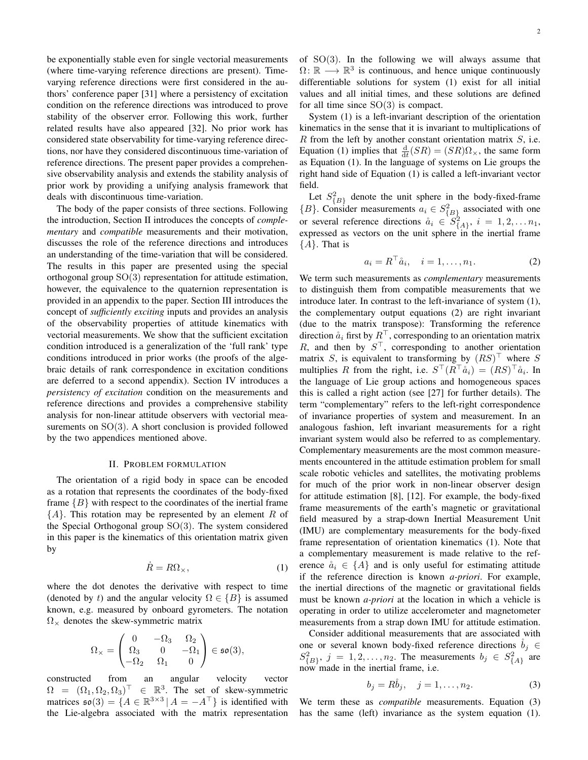be exponentially stable even for single vectorial measurements (where time-varying reference directions are present). Timevarying reference directions were first considered in the authors' conference paper [31] where a persistency of excitation condition on the reference directions was introduced to prove stability of the observer error. Following this work, further related results have also appeared [32]. No prior work has considered state observability for time-varying reference directions, nor have they considered discontinuous time-variation of reference directions. The present paper provides a comprehensive observability analysis and extends the stability analysis of prior work by providing a unifying analysis framework that deals with discontinuous time-variation.

The body of the paper consists of three sections. Following the introduction, Section II introduces the concepts of *complementary* and *compatible* measurements and their motivation, discusses the role of the reference directions and introduces an understanding of the time-variation that will be considered. The results in this paper are presented using the special orthogonal group  $SO(3)$  representation for attitude estimation, however, the equivalence to the quaternion representation is provided in an appendix to the paper. Section III introduces the concept of *sufficiently exciting* inputs and provides an analysis of the observability properties of attitude kinematics with vectorial measurements. We show that the sufficient excitation condition introduced is a generalization of the 'full rank' type conditions introduced in prior works (the proofs of the algebraic details of rank correspondence in excitation conditions are deferred to a second appendix). Section IV introduces a *persistency of excitation* condition on the measurements and reference directions and provides a comprehensive stability analysis for non-linear attitude observers with vectorial measurements on SO(3). A short conclusion is provided followed by the two appendices mentioned above.

# II. PROBLEM FORMULATION

The orientation of a rigid body in space can be encoded as a rotation that represents the coordinates of the body-fixed frame  ${B}$  with respect to the coordinates of the inertial frame  ${A}$ . This rotation may be represented by an element R of the Special Orthogonal group SO(3). The system considered in this paper is the kinematics of this orientation matrix given by

$$
\dot{R} = R\Omega_{\times},\tag{1}
$$

where the dot denotes the derivative with respect to time (denoted by t) and the angular velocity  $\Omega \in \{B\}$  is assumed known, e.g. measured by onboard gyrometers. The notation  $\Omega_{\times}$  denotes the skew-symmetric matrix

$$
\Omega_{\times} = \begin{pmatrix} 0 & -\Omega_3 & \Omega_2 \\ \Omega_3 & 0 & -\Omega_1 \\ -\Omega_2 & \Omega_1 & 0 \end{pmatrix} \in \mathfrak{so}(3),
$$

constructed from an angular velocity vector  $\Omega = (\Omega_1, \Omega_2, \Omega_3)^{\top} \in \mathbb{R}^3$ . The set of skew-symmetric matrices  $\mathfrak{so}(3) = \{ A \in \mathbb{R}^{3 \times 3} \, | \, A = -A^{\top} \}$  is identified with the Lie-algebra associated with the matrix representation of  $SO(3)$ . In the following we will always assume that  $\Omega: \mathbb{R} \longrightarrow \mathbb{R}^3$  is continuous, and hence unique continuously differentiable solutions for system (1) exist for all initial values and all initial times, and these solutions are defined for all time since  $SO(3)$  is compact.

System (1) is a left-invariant description of the orientation kinematics in the sense that it is invariant to multiplications of  $R$  from the left by another constant orientation matrix  $S$ , i.e. Equation (1) implies that  $\frac{d}{dt}(SR) = (SR)\Omega_{\times}$ , the same form as Equation (1). In the language of systems on Lie groups the right hand side of Equation (1) is called a left-invariant vector field.

Let  $S_{\{B\}}^2$  denote the unit sphere in the body-fixed-frame  ${B}$ . Consider measurements  $a_i \in S_{\{B\}}^2$  associated with one or several reference directions  $\aa_i \in S^2_{\{A\}}, i = 1, 2, \ldots n_1$ , expressed as vectors on the unit sphere in the inertial frame  ${A}$ . That is

$$
a_i = R^{\top} \dot{a}_i, \quad i = 1, \dots, n_1.
$$
 (2)

We term such measurements as *complementary* measurements to distinguish them from compatible measurements that we introduce later. In contrast to the left-invariance of system (1), the complementary output equations (2) are right invariant (due to the matrix transpose): Transforming the reference direction  $\aa_i$  first by  $R^\top$ , corresponding to an orientation matrix R, and then by  $S^{\top}$ , corresponding to another orientation matrix S, is equivalent to transforming by  $(RS)^\top$  where S multiplies R from the right, i.e.  $S^{\top}(R^{\top}\aa_i) = (RS)^{\top}\aa_i$ . In the language of Lie group actions and homogeneous spaces this is called a right action (see [27] for further details). The term "complementary" refers to the left-right correspondence of invariance properties of system and measurement. In an analogous fashion, left invariant measurements for a right invariant system would also be referred to as complementary. Complementary measurements are the most common measurements encountered in the attitude estimation problem for small scale robotic vehicles and satellites, the motivating problems for much of the prior work in non-linear observer design for attitude estimation [8], [12]. For example, the body-fixed frame measurements of the earth's magnetic or gravitational field measured by a strap-down Inertial Measurement Unit (IMU) are complementary measurements for the body-fixed frame representation of orientation kinematics (1). Note that a complementary measurement is made relative to the reference  $\aa_i \in \{A\}$  and is only useful for estimating attitude if the reference direction is known *a-priori*. For example, the inertial directions of the magnetic or gravitational fields must be known *a-priori* at the location in which a vehicle is operating in order to utilize accelerometer and magnetometer measurements from a strap down IMU for attitude estimation.

Consider additional measurements that are associated with one or several known body-fixed reference directions  $b_j \in$  $S_{\{B\}}^2$ ,  $j = 1, 2, \ldots, n_2$ . The measurements  $b_j \in S_{\{A\}}^2$  are now made in the inertial frame, i.e.

$$
b_j = R\dot{b}_j, \quad j = 1, \dots, n_2. \tag{3}
$$

We term these as *compatible* measurements. Equation (3) has the same (left) invariance as the system equation (1).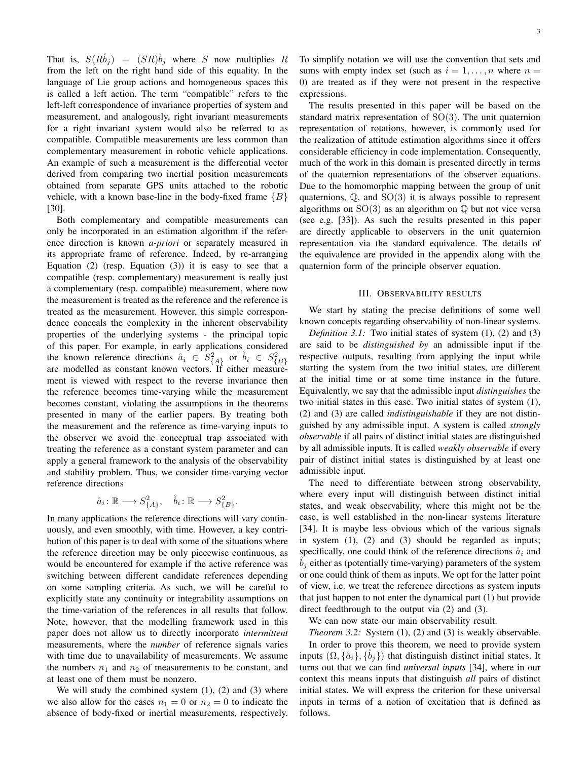That is,  $S(R\overset{\circ}{b}_i) = (SR)\overset{\circ}{b}_i$  where S now multiplies R from the left on the right hand side of this equality. In the language of Lie group actions and homogeneous spaces this is called a left action. The term "compatible" refers to the left-left correspondence of invariance properties of system and measurement, and analogously, right invariant measurements for a right invariant system would also be referred to as compatible. Compatible measurements are less common than complementary measurement in robotic vehicle applications. An example of such a measurement is the differential vector derived from comparing two inertial position measurements obtained from separate GPS units attached to the robotic vehicle, with a known base-line in the body-fixed frame  $\{B\}$ [30].

Both complementary and compatible measurements can only be incorporated in an estimation algorithm if the reference direction is known *a-priori* or separately measured in its appropriate frame of reference. Indeed, by re-arranging Equation  $(2)$  (resp. Equation  $(3)$ ) it is easy to see that a compatible (resp. complementary) measurement is really just a complementary (resp. compatible) measurement, where now the measurement is treated as the reference and the reference is treated as the measurement. However, this simple correspondence conceals the complexity in the inherent observability properties of the underlying systems - the principal topic of this paper. For example, in early applications considered the known reference directions  $\dot{a}_i \in S^2_{\{A\}}$  or  $\dot{b}_i \in S^2_{\{B\}}$ are modelled as constant known vectors. If either measurement is viewed with respect to the reverse invariance then the reference becomes time-varying while the measurement becomes constant, violating the assumptions in the theorems presented in many of the earlier papers. By treating both the measurement and the reference as time-varying inputs to the observer we avoid the conceptual trap associated with treating the reference as a constant system parameter and can apply a general framework to the analysis of the observability and stability problem. Thus, we consider time-varying vector reference directions

$$
\mathring{a}_i \colon \mathbb{R} \longrightarrow S^2_{\{A\}}, \quad \mathring{b}_i \colon \mathbb{R} \longrightarrow S^2_{\{B\}}.
$$

In many applications the reference directions will vary continuously, and even smoothly, with time. However, a key contribution of this paper is to deal with some of the situations where the reference direction may be only piecewise continuous, as would be encountered for example if the active reference was switching between different candidate references depending on some sampling criteria. As such, we will be careful to explicitly state any continuity or integrability assumptions on the time-variation of the references in all results that follow. Note, however, that the modelling framework used in this paper does not allow us to directly incorporate *intermittent* measurements, where the *number* of reference signals varies with time due to unavailability of measurements. We assume the numbers  $n_1$  and  $n_2$  of measurements to be constant, and at least one of them must be nonzero.

We will study the combined system  $(1)$ ,  $(2)$  and  $(3)$  where we also allow for the cases  $n_1 = 0$  or  $n_2 = 0$  to indicate the absence of body-fixed or inertial measurements, respectively. To simplify notation we will use the convention that sets and sums with empty index set (such as  $i = 1, \ldots, n$  where  $n =$ 0) are treated as if they were not present in the respective expressions.

The results presented in this paper will be based on the standard matrix representation of SO(3). The unit quaternion representation of rotations, however, is commonly used for the realization of attitude estimation algorithms since it offers considerable efficiency in code implementation. Consequently, much of the work in this domain is presented directly in terms of the quaternion representations of the observer equations. Due to the homomorphic mapping between the group of unit quaternions,  $\mathbb{Q}$ , and  $SO(3)$  it is always possible to represent algorithms on  $SO(3)$  as an algorithm on  $\mathbb Q$  but not vice versa (see e.g. [33]). As such the results presented in this paper are directly applicable to observers in the unit quaternion representation via the standard equivalence. The details of the equivalence are provided in the appendix along with the quaternion form of the principle observer equation.

#### III. OBSERVABILITY RESULTS

We start by stating the precise definitions of some well known concepts regarding observability of non-linear systems.

*Definition 3.1:* Two initial states of system (1), (2) and (3) are said to be *distinguished by* an admissible input if the respective outputs, resulting from applying the input while starting the system from the two initial states, are different at the initial time or at some time instance in the future. Equivalently, we say that the admissible input *distinguishes* the two initial states in this case. Two initial states of system (1), (2) and (3) are called *indistinguishable* if they are not distinguished by any admissible input. A system is called *strongly observable* if all pairs of distinct initial states are distinguished by all admissible inputs. It is called *weakly observable* if every pair of distinct initial states is distinguished by at least one admissible input.

The need to differentiate between strong observability, where every input will distinguish between distinct initial states, and weak observability, where this might not be the case, is well established in the non-linear systems literature [34]. It is maybe less obvious which of the various signals in system (1), (2) and (3) should be regarded as inputs; specifically, one could think of the reference directions  $\hat{a}_i$  and  $b_i$  either as (potentially time-varying) parameters of the system or one could think of them as inputs. We opt for the latter point of view, i.e. we treat the reference directions as system inputs that just happen to not enter the dynamical part (1) but provide direct feedthrough to the output via (2) and (3).

We can now state our main observability result.

*Theorem 3.2:* System (1), (2) and (3) is weakly observable. In order to prove this theorem, we need to provide system inputs  $(\Omega, \{\mathring{a}_i\}, \{b_i\})$  that distinguish distinct initial states. It turns out that we can find *universal inputs* [34], where in our context this means inputs that distinguish *all* pairs of distinct initial states. We will express the criterion for these universal inputs in terms of a notion of excitation that is defined as follows.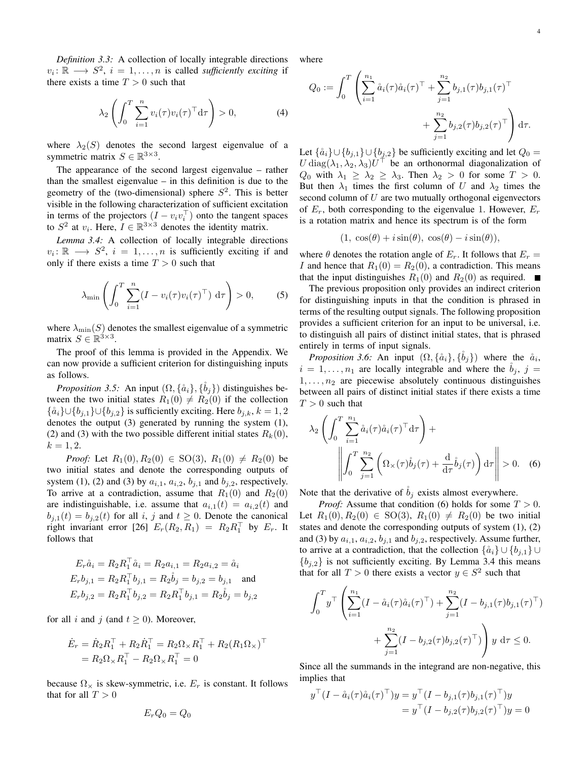4

*Definition 3.3:* A collection of locally integrable directions  $v_i: \mathbb{R} \longrightarrow S^2$ ,  $i = 1, ..., n$  is called *sufficiently exciting* if there exists a time  $T > 0$  such that

$$
\lambda_2 \left( \int_0^T \sum_{i=1}^n v_i(\tau) v_i(\tau)^\top d\tau \right) > 0,
$$
\n(4)

where  $\lambda_2(S)$  denotes the second largest eigenvalue of a symmetric matrix  $S \in \mathbb{R}^{3 \times 3}$ .

The appearance of the second largest eigenvalue – rather than the smallest eigenvalue – in this definition is due to the geometry of the (two-dimensional) sphere  $S<sup>2</sup>$ . This is better visible in the following characterization of sufficient excitation in terms of the projectors  $(I - v_i v_i^{\top})$  onto the tangent spaces to  $S^2$  at  $v_i$ . Here,  $I \in \mathbb{R}^{3 \times 3}$  denotes the identity matrix.

*Lemma 3.4:* A collection of locally integrable directions  $v_i: \mathbb{R} \longrightarrow S^2$ ,  $i = 1, ..., n$  is sufficiently exciting if and only if there exists a time  $T > 0$  such that

$$
\lambda_{\min} \left( \int_0^T \sum_{i=1}^n (I - v_i(\tau) v_i(\tau)^\top) \, d\tau \right) > 0, \tag{5}
$$

where  $\lambda_{\min}(S)$  denotes the smallest eigenvalue of a symmetric matrix  $S \in \mathbb{R}^{3 \times 3}$ .

The proof of this lemma is provided in the Appendix. We can now provide a sufficient criterion for distinguishing inputs as follows.

*Proposition 3.5:* An input  $(\Omega, {\{\hat{a}_i\}, \{b_j\}})$  distinguishes between the two initial states  $R_1(0) \neq R_2(0)$  if the collection  $\{\aa_i\} \cup \{b_{j,1}\} \cup \{b_{j,2}\}\$  is sufficiently exciting. Here  $b_{j,k}$ ,  $k = 1, 2$ denotes the output (3) generated by running the system (1), (2) and (3) with the two possible different initial states  $R_k(0)$ ,  $k = 1, 2.$ 

*Proof:* Let  $R_1(0), R_2(0) \in SO(3), R_1(0) \neq R_2(0)$  be two initial states and denote the corresponding outputs of system (1), (2) and (3) by  $a_{i,1}$ ,  $a_{i,2}$ ,  $b_{j,1}$  and  $b_{j,2}$ , respectively. To arrive at a contradiction, assume that  $R_1(0)$  and  $R_2(0)$ are indistinguishable, i.e. assume that  $a_{i,1}(t) = a_{i,2}(t)$  and  $b_{j,1}(t) = b_{j,2}(t)$  for all i, j and  $t \ge 0$ . Denote the canonical right invariant error [26]  $E_r(R_2, R_1) = R_2 R_1^{\top}$  by  $E_r$ . It follows that

$$
E_r \mathring{a}_i = R_2 R_1^\top \mathring{a}_i = R_2 a_{i,1} = R_2 a_{i,2} = \mathring{a}_i
$$
  
\n
$$
E_r b_{j,1} = R_2 R_1^\top b_{j,1} = R_2 \mathring{b}_j = b_{j,2} = b_{j,1}
$$
 and  
\n
$$
E_r b_{j,2} = R_2 R_1^\top b_{j,2} = R_2 R_1^\top b_{j,1} = R_2 \mathring{b}_j = b_{j,2}
$$

for all i and j (and  $t \ge 0$ ). Moreover,

$$
\dot{E}_r = \dot{R}_2 R_1^\top + R_2 \dot{R}_1^\top = R_2 \Omega_\times R_1^\top + R_2 (R_1 \Omega_\times)^\top \n= R_2 \Omega_\times R_1^\top - R_2 \Omega_\times R_1^\top = 0
$$

because  $\Omega_{\times}$  is skew-symmetric, i.e.  $E_r$  is constant. It follows that for all  $T > 0$ 

$$
E_rQ_0=Q_0
$$

where

$$
Q_0 := \int_0^T \left( \sum_{i=1}^{n_1} \aa_i(\tau) \aa_i(\tau)^\top + \sum_{j=1}^{n_2} b_{j,1}(\tau) b_{j,1}(\tau)^\top + \sum_{j=1}^{n_2} b_{j,2}(\tau) b_{j,2}(\tau)^\top \right) d\tau.
$$

Let  $\{\aa_i\} \cup \{b_{j,1}\} \cup \{b_{j,2}\}\$  be sufficiently exciting and let  $Q_0 =$  $U \text{ diag}(\lambda_1, \lambda_2, \lambda_3) U^{\dagger}$  be an orthonormal diagonalization of  $Q_0$  with  $\lambda_1 \geq \lambda_2 \geq \lambda_3$ . Then  $\lambda_2 > 0$  for some  $T > 0$ . But then  $\lambda_1$  times the first column of U and  $\lambda_2$  times the second column of  $U$  are two mutually orthogonal eigenvectors of  $E_r$ , both corresponding to the eigenvalue 1. However,  $E_r$ is a rotation matrix and hence its spectrum is of the form

$$
(1, \cos(\theta) + i\sin(\theta), \cos(\theta) - i\sin(\theta)),
$$

where  $\theta$  denotes the rotation angle of  $E_r$ . It follows that  $E_r =$ I and hence that  $R_1(0) = R_2(0)$ , a contradiction. This means that the input distinguishes  $R_1(0)$  and  $R_2(0)$  as required.

The previous proposition only provides an indirect criterion for distinguishing inputs in that the condition is phrased in terms of the resulting output signals. The following proposition provides a sufficient criterion for an input to be universal, i.e. to distinguish all pairs of distinct initial states, that is phrased entirely in terms of input signals.

*Proposition 3.6:* An input  $(\Omega, {\{\hat{a}_i\}, \{\hat{b}_j\}})$  where the  $\hat{a}_i$ ,  $i = 1, \ldots, n_1$  are locally integrable and where the  $b_j$ ,  $j =$  $1, \ldots, n_2$  are piecewise absolutely continuous distinguishes between all pairs of distinct initial states if there exists a time  $T > 0$  such that

$$
\lambda_2 \left( \int_0^T \sum_{i=1}^{n_1} \hat{a}_i(\tau) \hat{a}_i(\tau)^\top d\tau \right) + \left\| \int_0^T \sum_{j=1}^{n_2} \left( \Omega_\times(\tau) \hat{b}_j(\tau) + \frac{d}{d\tau} \hat{b}_j(\tau) \right) d\tau \right\| > 0. \quad (6)
$$

Note that the derivative of  $b_i$  exists almost everywhere.

*Proof:* Assume that condition (6) holds for some  $T > 0$ . Let  $R_1(0), R_2(0) \in SO(3), R_1(0) \neq R_2(0)$  be two initial states and denote the corresponding outputs of system (1), (2) and (3) by  $a_{i,1}$ ,  $a_{i,2}$ ,  $b_{i,1}$  and  $b_{i,2}$ , respectively. Assume further, to arrive at a contradiction, that the collection  $\{\aa_i\} \cup \{b_{i,1}\} \cup \{b_{i,2}\}$  ${b_{i,2}}$  is not sufficiently exciting. By Lemma 3.4 this means that for all  $T > 0$  there exists a vector  $y \in S^2$  such that

$$
\int_0^T y^\top \left( \sum_{i=1}^{n_1} (I - \mathring{a}_i(\tau) \mathring{a}_i(\tau)^\top) + \sum_{j=1}^{n_2} (I - b_{j,1}(\tau) b_{j,1}(\tau)^\top) + \sum_{j=1}^{n_2} (I - b_{j,2}(\tau) b_{j,2}(\tau)^\top) \right) y \, d\tau \leq 0.
$$

Since all the summands in the integrand are non-negative, this implies that

$$
y^{\top} (I - \mathring{a}_i(\tau) \mathring{a}_i(\tau)^{\top}) y = y^{\top} (I - b_{j,1}(\tau) b_{j,1}(\tau)^{\top}) y
$$
  
= 
$$
y^{\top} (I - b_{j,2}(\tau) b_{j,2}(\tau)^{\top}) y = 0
$$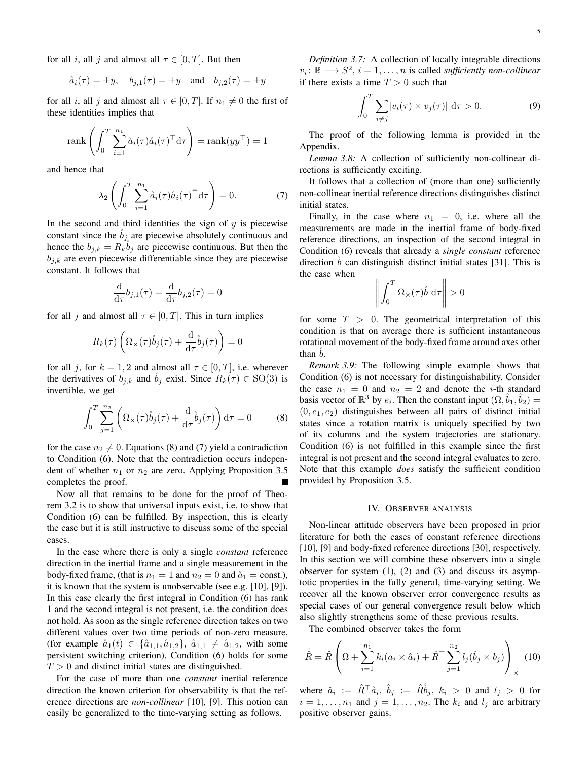for all i, all j and almost all  $\tau \in [0, T]$ . But then

$$
\aa_i(\tau) = \pm y, \quad b_{j,1}(\tau) = \pm y \quad \text{and} \quad b_{j,2}(\tau) = \pm y
$$

for all i, all j and almost all  $\tau \in [0, T]$ . If  $n_1 \neq 0$  the first of these identities implies that

$$
\operatorname{rank}\left(\int_0^T \sum_{i=1}^{n_1} \aa_i(\tau) \aa_i(\tau)^\top \mathrm{d}\tau\right) = \operatorname{rank}(yy^\top) = 1
$$

and hence that

$$
\lambda_2 \left( \int_0^T \sum_{i=1}^{n_1} \aa_i(\tau) \aa_i(\tau)^\top d\tau \right) = 0. \tag{7}
$$

In the second and third identities the sign of  $y$  is piecewise constant since the  $b_j$  are piecewise absolutely continuous and hence the  $b_{j,k} = R_k \tilde{b}_j$  are piecewise continuous. But then the  $b_{i,k}$  are even piecewise differentiable since they are piecewise constant. It follows that

$$
\frac{\mathrm{d}}{\mathrm{d}\tau}b_{j,1}(\tau) = \frac{\mathrm{d}}{\mathrm{d}\tau}b_{j,2}(\tau) = 0
$$

for all j and almost all  $\tau \in [0, T]$ . This in turn implies

$$
R_k(\tau) \left( \Omega_\times(\tau) \dot{b}_j(\tau) + \frac{\mathrm{d}}{\mathrm{d}\tau} \dot{b}_j(\tau) \right) = 0
$$

for all j, for  $k = 1, 2$  and almost all  $\tau \in [0, T]$ , i.e. wherever the derivatives of  $b_{j,k}$  and  $b_j$  exist. Since  $R_k(\tau) \in SO(3)$  is invertible, we get

$$
\int_0^T \sum_{j=1}^{n_2} \left( \Omega_\times(\tau) \dot{b}_j(\tau) + \frac{d}{d\tau} \dot{b}_j(\tau) \right) d\tau = 0 \tag{8}
$$

for the case  $n_2 \neq 0$ . Equations (8) and (7) yield a contradiction to Condition (6). Note that the contradiction occurs independent of whether  $n_1$  or  $n_2$  are zero. Applying Proposition 3.5 completes the proof.

Now all that remains to be done for the proof of Theorem 3.2 is to show that universal inputs exist, i.e. to show that Condition (6) can be fulfilled. By inspection, this is clearly the case but it is still instructive to discuss some of the special cases.

In the case where there is only a single *constant* reference direction in the inertial frame and a single measurement in the body-fixed frame, (that is  $n_1 = 1$  and  $n_2 = 0$  and  $\mathring{a}_1 = \text{const.}$ ), it is known that the system is unobservable (see e.g. [10], [9]). In this case clearly the first integral in Condition (6) has rank 1 and the second integral is not present, i.e. the condition does not hold. As soon as the single reference direction takes on two different values over two time periods of non-zero measure, (for example  $\aa_1(t) \in \{\aa_{1,1}, \aa_{1,2}\}, \aa_{1,1} \neq \aa_{1,2}$ , with some persistent switching criterion), Condition (6) holds for some  $T > 0$  and distinct initial states are distinguished.

For the case of more than one *constant* inertial reference direction the known criterion for observability is that the reference directions are *non-collinear* [10], [9]. This notion can easily be generalized to the time-varying setting as follows.

*Definition 3.7:* A collection of locally integrable directions  $v_i: \mathbb{R} \longrightarrow S^2$ ,  $i = 1, \dots, n$  is called *sufficiently non-collinear* if there exists a time  $T > 0$  such that

$$
\int_0^T \sum_{i \neq j} |v_i(\tau) \times v_j(\tau)| \, d\tau > 0.
$$
 (9)

The proof of the following lemma is provided in the Appendix.

*Lemma 3.8:* A collection of sufficiently non-collinear directions is sufficiently exciting.

It follows that a collection of (more than one) sufficiently non-collinear inertial reference directions distinguishes distinct initial states.

Finally, in the case where  $n_1 = 0$ , i.e. where all the measurements are made in the inertial frame of body-fixed reference directions, an inspection of the second integral in Condition (6) reveals that already a *single constant* reference direction  $\dot{b}$  can distinguish distinct initial states [31]. This is the case when

$$
\left\| \int_0^T \Omega_\times(\tau) \dot{b} \, \mathrm{d}\tau \right\| > 0
$$

for some  $T > 0$ . The geometrical interpretation of this condition is that on average there is sufficient instantaneous rotational movement of the body-fixed frame around axes other than *.* 

*Remark 3.9:* The following simple example shows that Condition (6) is not necessary for distinguishability. Consider the case  $n_1 = 0$  and  $n_2 = 2$  and denote the *i*-th standard basis vector of  $\mathbb{R}^3$  by  $e_i$ . Then the constant input  $(\Omega, \dot{b}_1, \dot{b}_2)$  =  $(0, e_1, e_2)$  distinguishes between all pairs of distinct initial states since a rotation matrix is uniquely specified by two of its columns and the system trajectories are stationary. Condition (6) is not fulfilled in this example since the first integral is not present and the second integral evaluates to zero. Note that this example *does* satisfy the sufficient condition provided by Proposition 3.5.

#### IV. OBSERVER ANALYSIS

Non-linear attitude observers have been proposed in prior literature for both the cases of constant reference directions [10], [9] and body-fixed reference directions [30], respectively. In this section we will combine these observers into a single observer for system  $(1)$ ,  $(2)$  and  $(3)$  and discuss its asymptotic properties in the fully general, time-varying setting. We recover all the known observer error convergence results as special cases of our general convergence result below which also slightly strengthens some of these previous results.

The combined observer takes the form

$$
\dot{\hat{R}} = \hat{R} \left( \Omega + \sum_{i=1}^{n_1} k_i (a_i \times \hat{a}_i) + \hat{R}^\top \sum_{j=1}^{n_2} l_j (\hat{b}_j \times b_j) \right)_{\times} (10)
$$

where  $\hat{a}_i := \hat{R}^\top \mathring{a}_i$ ,  $\hat{b}_j := \hat{R} \mathring{b}_j$ ,  $k_i > 0$  and  $l_j > 0$  for  $i = 1, \ldots, n_1$  and  $j = 1, \ldots, n_2$ . The  $k_i$  and  $l_j$  are arbitrary positive observer gains.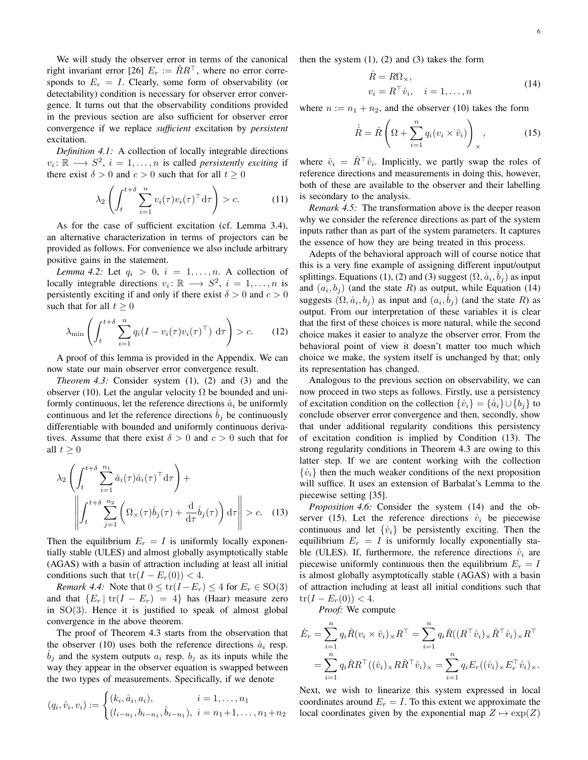We will study the observer error in terms of the canonical right invariant error [26]  $E_r := RR^{\dagger}$ , where no error corresponds to  $E_r = I$ . Clearly, some form of observability (or detectability) condition is necessary for observer error convergence. It turns out that the observability conditions provided in the previous section are also sufficient for observer error convergence if we replace *sufficient* excitation by *persistent* excitation.

*Definition 4.1:* A collection of locally integrable directions  $v_i: \mathbb{R} \longrightarrow S^2$ ,  $i = 1, ..., n$  is called *persistently exciting* if there exist  $\delta > 0$  and  $c > 0$  such that for all  $t \ge 0$ 

$$
\lambda_2 \left( \int_t^{t+\delta} \sum_{i=1}^n v_i(\tau) v_i(\tau)^\top d\tau \right) > c. \tag{11}
$$

As for the case of sufficient excitation (cf. Lemma 3.4), an alternative characterization in terms of projectors can be provided as follows. For convenience we also include arbitrary positive gains in the statement.

*Lemma 4.2:* Let  $q_i > 0$ ,  $i = 1, \ldots, n$ . A collection of locally integrable directions  $v_i: \mathbb{R} \longrightarrow S^2$ ,  $i = 1, ..., n$  is persistently exciting if and only if there exist  $\delta > 0$  and  $c > 0$ such that for all  $t \geq 0$ 

$$
\lambda_{\min} \left( \int_{t}^{t+\delta} \sum_{i=1}^{n} q_i (I - v_i(\tau) v_i(\tau)^{\top}) \, d\tau \right) > c. \tag{12}
$$

A proof of this lemma is provided in the Appendix. We can now state our main observer error convergence result.

*Theorem 4.3:* Consider system (1), (2) and (3) and the observer (10). Let the angular velocity  $\Omega$  be bounded and uniformly continuous, let the reference directions  $\dot{a}_i$  be uniformly continuous and let the reference directions  $b_i$  be continuously differentiable with bounded and uniformly continuous derivatives. Assume that there exist  $\delta > 0$  and  $c > 0$  such that for all  $t > 0$ 

$$
\lambda_2 \left( \int_t^{t+\delta} \sum_{i=1}^{n_1} \mathring{a}_i(\tau) \mathring{a}_i(\tau)^\top \mathrm{d}\tau \right) + \left\| \int_t^{t+\delta} \sum_{j=1}^{n_2} \left( \Omega_\times(\tau) \mathring{b}_j(\tau) + \frac{\mathrm{d}}{\mathrm{d}\tau} \mathring{b}_j(\tau) \right) \mathrm{d}\tau \right\| > c. \quad (13)
$$

Then the equilibrium  $E_r = I$  is uniformly locally exponentially stable (ULES) and almost globally asymptotically stable (AGAS) with a basin of attraction including at least all initial conditions such that  $tr(I - E_r(0)) < 4$ .

*Remark 4.4:* Note that  $0 \le \text{tr}(I - E_r) \le 4$  for  $E_r \in SO(3)$ and that  $\{E_r | tr(I - E_r) = 4\}$  has (Haar) measure zero in  $SO(3)$ . Hence it is justified to speak of almost global convergence in the above theorem.

The proof of Theorem 4.3 starts from the observation that the observer (10) uses both the reference directions  $\aa_i$  resp.  $\dot{b}_j$  and the system outputs  $a_i$  resp.  $b_j$  as its inputs while the way they appear in the observer equation is swapped between the two types of measurements. Specifically, if we denote

$$
(q_i, \mathring{v}_i, v_i) := \begin{cases} (k_i, \mathring{a}_i, a_i), & i = 1, \dots, n_1 \\ (l_{i-n_1}, b_{i-n_1}, \mathring{b}_{i-n_1}), & i = n_1 + 1, \dots, n_1 + n_2 \end{cases}
$$

then the system  $(1)$ ,  $(2)$  and  $(3)$  takes the form

$$
\dot{R} = R\Omega_{\times},
$$
  
\n
$$
v_i = R^{\top} \dot{v}_i, \quad i = 1, ..., n
$$
\n(14)

where  $n := n_1 + n_2$ , and the observer (10) takes the form

$$
\dot{\hat{R}} = \hat{R} \left( \Omega + \sum_{i=1}^{n} q_i (v_i \times \hat{v}_i) \right)_{\times}, \tag{15}
$$

where  $\hat{v}_i = \hat{R}^\top \hat{v}_i$ . Implicitly, we partly swap the roles of reference directions and measurements in doing this, however, both of these are available to the observer and their labelling is secondary to the analysis.

*Remark 4.5:* The transformation above is the deeper reason why we consider the reference directions as part of the system inputs rather than as part of the system parameters. It captures the essence of how they are being treated in this process.

Adepts of the behavioral approach will of course notice that this is a very fine example of assigning different input/output splittings. Equations (1), (2) and (3) suggest  $(\Omega, \aa_i, \aa_j)$  as input and  $(a_i, b_j)$  (and the state R) as output, while Equation (14) suggests  $(\Omega, \aa_i, b_j)$  as input and  $(a_i, \aa_j)$  (and the state R) as output. From our interpretation of these variables it is clear that the first of these choices is more natural, while the second choice makes it easier to analyze the observer error. From the behavioral point of view it doesn't matter too much which choice we make, the system itself is unchanged by that; only its representation has changed.

Analogous to the previous section on observability, we can now proceed in two steps as follows. Firstly, use a persistency of excitation condition on the collection  $\{\mathring{v}_i\} = \{\mathring{a}_i\} \cup \{b_i\}$  to conclude observer error convergence and then, secondly, show that under additional regularity conditions this persistency of excitation condition is implied by Condition (13). The strong regularity conditions in Theorem 4.3 are owing to this latter step. If we are content working with the collection  $\{\hat{v}_i\}$  then the much weaker conditions of the next proposition will suffice. It uses an extension of Barbalat's Lemma to the piecewise setting [35].

*Proposition 4.6:* Consider the system (14) and the observer (15). Let the reference directions  $\dot{v}_i$  be piecewise continuous and let  $\{\hat{v}_i\}$  be persistently exciting. Then the equilibrium  $E_r = I$  is uniformly locally exponentially stable (ULES). If, furthermore, the reference directions  $\dot{v}_i$  are piecewise uniformly continuous then the equilibrium  $E_r = I$ is almost globally asymptotically stable (AGAS) with a basin of attraction including at least all initial conditions such that  $tr(I - E_r(0)) < 4.$ 

*Proof:* We compute

$$
\dot{E}_r = \sum_{i=1}^n q_i \hat{R}(v_i \times \hat{v}_i)_\times R^\top = \sum_{i=1}^n q_i \hat{R}((R^\top \hat{v}_i)_\times \hat{R}^\top \hat{v}_i)_\times R^\top
$$

$$
= \sum_{i=1}^n q_i \hat{R} R^\top ((\hat{v}_i)_\times R \hat{R}^\top \hat{v}_i)_\times = \sum_{i=1}^n q_i E_r ((\hat{v}_i)_\times E_r^\top \hat{v}_i)_\times.
$$

Next, we wish to linearize this system expressed in local coordinates around  $E_r = I$ . To this extent we approximate the local coordinates given by the exponential map  $Z \mapsto \exp(Z)$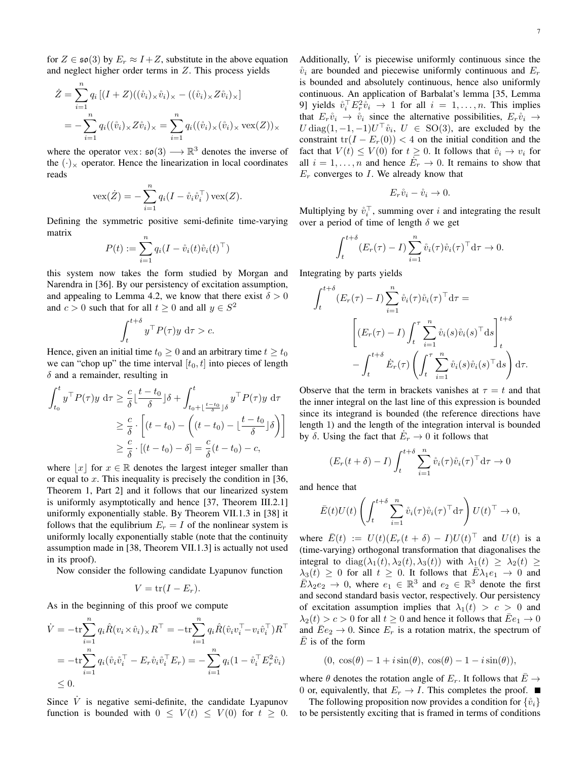for  $Z \in \mathfrak{so}(3)$  by  $E_r \approx I + Z$ , substitute in the above equation and neglect higher order terms in Z. This process yields

$$
\dot{Z} = \sum_{i=1}^{n} q_i \left[ (I + Z) ((\mathring{v}_i)_\times \mathring{v}_i)_\times - ((\mathring{v}_i)_\times Z \mathring{v}_i)_\times \right]
$$
  
= 
$$
-\sum_{i=1}^{n} q_i ((\mathring{v}_i)_\times Z \mathring{v}_i)_\times = \sum_{i=1}^{n} q_i ((\mathring{v}_i)_\times (\mathring{v}_i)_\times \text{vex}(Z))_\times
$$

where the operator vex:  $\mathfrak{so}(3) \longrightarrow \mathbb{R}^3$  denotes the inverse of the  $(\cdot)_\times$  operator. Hence the linearization in local coordinates reads

$$
\text{vex}(\dot{Z}) = -\sum_{i=1}^{n} q_i (I - \mathring{v}_i \mathring{v}_i^{\top}) \text{ vex}(Z).
$$

Defining the symmetric positive semi-definite time-varying matrix

$$
P(t) := \sum_{i=1}^{n} q_i (I - \mathring{v}_i(t)\mathring{v}_i(t)^{\top})
$$

this system now takes the form studied by Morgan and Narendra in [36]. By our persistency of excitation assumption, and appealing to Lemma 4.2, we know that there exist  $\delta > 0$ and  $c > 0$  such that for all  $t \ge 0$  and all  $y \in S^2$ 

$$
\int_{t}^{t+\delta} y^{\top} P(\tau) y \, d\tau > c.
$$

Hence, given an initial time  $t_0 \geq 0$  and an arbitrary time  $t \geq t_0$ we can "chop up" the time interval  $[t_0, t]$  into pieces of length  $\delta$  and a remainder, resulting in

$$
\int_{t_0}^t y^\top P(\tau) y \, d\tau \ge \frac{c}{\delta} \left[ \frac{t - t_0}{\delta} \right] \delta + \int_{t_0 + \left[ \frac{t - t_0}{\delta} \right] \delta}^t y^\top P(\tau) y \, d\tau
$$
\n
$$
\ge \frac{c}{\delta} \cdot \left[ (t - t_0) - \left( (t - t_0) - \left[ \frac{t - t_0}{\delta} \right] \delta \right) \right]
$$
\n
$$
\ge \frac{c}{\delta} \cdot \left[ (t - t_0) - \delta \right] = \frac{c}{\delta} (t - t_0) - c,
$$

where  $|x|$  for  $x \in \mathbb{R}$  denotes the largest integer smaller than or equal to  $x$ . This inequality is precisely the condition in [36, Theorem 1, Part 2] and it follows that our linearized system is uniformly asymptotically and hence [37, Theorem III.2.1] uniformly exponentially stable. By Theorem VII.1.3 in [38] it follows that the equilibrium  $E_r = I$  of the nonlinear system is uniformly locally exponentially stable (note that the continuity assumption made in [38, Theorem VII.1.3] is actually not used in its proof).

Now consider the following candidate Lyapunov function

$$
V = \text{tr}(I - E_r).
$$

As in the beginning of this proof we compute

$$
\dot{V} = -\text{tr}\sum_{i=1}^{n} q_i \hat{R}(v_i \times \hat{v}_i) \times R^{\top} = -\text{tr}\sum_{i=1}^{n} q_i \hat{R}(\hat{v}_i v_i^{\top} - v_i \hat{v}_i^{\top}) R^{\top}
$$
\n
$$
= -\text{tr}\sum_{i=1}^{n} q_i (\hat{v}_i \hat{v}_i^{\top} - E_r \hat{v}_i \hat{v}_i^{\top} E_r) = -\sum_{i=1}^{n} q_i (1 - \hat{v}_i^{\top} E_r^2 \hat{v}_i)
$$
\n
$$
\leq 0.
$$

Since  $\dot{V}$  is negative semi-definite, the candidate Lyapunov function is bounded with  $0 \leq V(t) \leq V(0)$  for  $t \geq 0$ .

Additionally,  $\dot{V}$  is piecewise uniformly continuous since the  $\dot{v}_i$  are bounded and piecewise uniformly continuous and  $E_r$ is bounded and absolutely continuous, hence also uniformly continuous. An application of Barbalat's lemma [35, Lemma 9] yields  $\mathring{v}_i^\top E_r^2 \mathring{v}_i \to 1$  for all  $i = 1, \ldots, n$ . This implies that  $E_r \mathring{v}_i \rightarrow \mathring{v}_i$  since the alternative possibilities,  $E_r \mathring{v}_i \rightarrow$  $U \text{ diag}(1, -1, -1) U^\top \mathring{v}_i$ ,  $U \in SO(3)$ , are excluded by the constraint tr( $I - E_r(0)$ ) < 4 on the initial condition and the fact that  $V(t) \leq V(0)$  for  $t \geq 0$ . It follows that  $\hat{v}_i \to v_i$  for all  $i = 1, \ldots, n$  and hence  $\dot{E}_r \to 0$ . It remains to show that  $E_r$  converges to I. We already know that

$$
E_r\mathring{v}_i - \mathring{v}_i \to 0.
$$

Multiplying by  $\mathring{v}_i^{\top}$ , summing over i and integrating the result over a period of time of length  $\delta$  we get

$$
\int_{t}^{t+\delta} (E_r(\tau) - I) \sum_{i=1}^{n} \mathring{v}_i(\tau) \mathring{v}_i(\tau)^\top d\tau \to 0.
$$

Integrating by parts yields

$$
\int_{t}^{t+\delta} (E_r(\tau) - I) \sum_{i=1}^{n} \mathring{v}_i(\tau) \mathring{v}_i(\tau)^\top d\tau =
$$
\n
$$
\left[ (E_r(\tau) - I) \int_{t}^{\tau} \sum_{i=1}^{n} \mathring{v}_i(s) \mathring{v}_i(s)^\top ds \right]_{t}^{t+\delta}
$$
\n
$$
- \int_{t}^{t+\delta} \dot{E}_r(\tau) \left( \int_{t}^{\tau} \sum_{i=1}^{n} \mathring{v}_i(s) \mathring{v}_i(s)^\top ds \right) d\tau.
$$

Observe that the term in brackets vanishes at  $\tau = t$  and that the inner integral on the last line of this expression is bounded since its integrand is bounded (the reference directions have length 1) and the length of the integration interval is bounded by  $\delta$ . Using the fact that  $\dot{E}_r \to 0$  it follows that

$$
(E_r(t+\delta) - I) \int_t^{t+\delta} \sum_{i=1}^n \mathring{v}_i(\tau) \mathring{v}_i(\tau)^\top d\tau \to 0
$$

and hence that

$$
\bar{E}(t)U(t)\left(\int_t^{t+\delta}\sum_{i=1}^n\mathring{v}_i(\tau)\mathring{v}_i(\tau)^{\top}\mathrm{d}\tau\right)U(t)^{\top}\to 0,
$$

where  $\overline{E}(t) := U(t)(E_r(t + \delta) - I)U(t)^{\top}$  and  $U(t)$  is a (time-varying) orthogonal transformation that diagonalises the integral to diag( $\lambda_1(t), \lambda_2(t), \lambda_3(t)$ ) with  $\lambda_1(t) \geq \lambda_2(t) \geq$  $\lambda_3(t) \geq 0$  for all  $t \geq 0$ . It follows that  $\bar{E} \lambda_1 e_1 \rightarrow 0$  and  $\overline{E\lambda_2e_2} \to 0$ , where  $e_1 \in \mathbb{R}^3$  and  $e_2 \in \mathbb{R}^3$  denote the first and second standard basis vector, respectively. Our persistency of excitation assumption implies that  $\lambda_1(t) > c > 0$  and  $\lambda_2(t) > c > 0$  for all  $t \ge 0$  and hence it follows that  $\overline{E}e_1 \to 0$ and  $\overline{E}e_2 \to 0$ . Since  $E_r$  is a rotation matrix, the spectrum of  $\overline{E}$  is of the form

$$
(0, \cos(\theta) - 1 + i\sin(\theta), \cos(\theta) - 1 - i\sin(\theta)),
$$

where  $\theta$  denotes the rotation angle of  $E_r$ . It follows that  $\bar{E} \rightarrow$ 0 or, equivalently, that  $E_r \to I$ . This completes the proof.  $\blacksquare$ 

The following proposition now provides a condition for  $\{\hat{v}_i\}$ to be persistently exciting that is framed in terms of conditions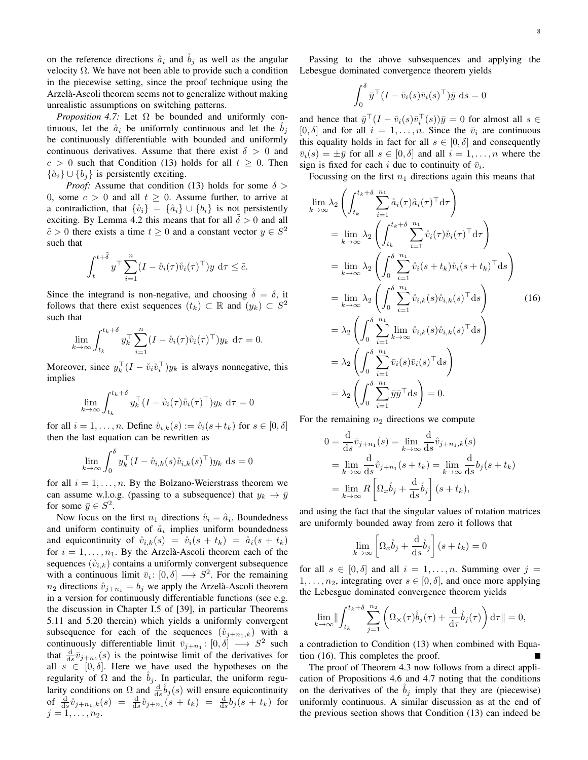on the reference directions  $\dot{a}_i$  and  $\dot{b}_j$  as well as the angular velocity  $Ω$ . We have not been able to provide such a condition in the piecewise setting, since the proof technique using the Arzela-Ascoli theorem seems not to generalize without making ` unrealistic assumptions on switching patterns.

*Proposition 4.7:* Let  $\Omega$  be bounded and uniformly continuous, let the  $\dot{a}_i$  be uniformly continuous and let the  $b_i$ be continuously differentiable with bounded and uniformly continuous derivatives. Assume that there exist  $\delta > 0$  and  $c > 0$  such that Condition (13) holds for all  $t \geq 0$ . Then  $\{\aa_i\} \cup \{b_i\}$  is persistently exciting.

*Proof:* Assume that condition (13) holds for some  $\delta$  > 0, some  $c > 0$  and all  $t > 0$ . Assume further, to arrive at a contradiction, that  $\{\hat{v}_i\} = \{\hat{a}_i\} \cup \{b_i\}$  is not persistently exciting. By Lemma 4.2 this means that for all  $\delta > 0$  and all  $\tilde{c} > 0$  there exists a time  $t \geq 0$  and a constant vector  $y \in S^2$ such that

$$
\int_{t}^{t+\tilde{\delta}} y^{\top} \sum_{i=1}^{n} (I - \mathring{v}_{i}(\tau) \mathring{v}_{i}(\tau)^{\top}) y \, d\tau \leq \tilde{c}.
$$

Since the integrand is non-negative, and choosing  $\tilde{\delta} = \delta$ , it follows that there exist sequences  $(t_k) \subset \mathbb{R}$  and  $(y_k) \subset S^2$ such that

$$
\lim_{k \to \infty} \int_{t_k}^{t_k + \delta} y_k^{\top} \sum_{i=1}^n (I - \mathring{v}_i(\tau) \mathring{v}_i(\tau)^\top) y_k \, d\tau = 0.
$$

Moreover, since  $y_k^{\top} (I - \mathring{v}_i \mathring{v}_i^{\top}) y_k$  is always nonnegative, this implies

$$
\lim_{k \to \infty} \int_{t_k}^{t_k + \delta} y_k^{\top} (I - \mathring{v}_i(\tau) \mathring{v}_i(\tau)^\top) y_k \, d\tau = 0
$$

for all  $i = 1, \ldots, n$ . Define  $\mathring{v}_{i,k}(s) := \mathring{v}_i(s + t_k)$  for  $s \in [0, \delta]$ then the last equation can be rewritten as

$$
\lim_{k \to \infty} \int_0^\delta y_k^\top (I - \mathring{v}_{i,k}(s)\mathring{v}_{i,k}(s)^\top) y_k \, \mathrm{d}s = 0
$$

for all  $i = 1, \ldots, n$ . By the Bolzano-Weierstrass theorem we can assume w.l.o.g. (passing to a subsequence) that  $y_k \to \bar{y}$ for some  $\bar{y} \in S^2$ .

Now focus on the first  $n_1$  directions  $\mathring{v}_i = \mathring{a}_i$ . Boundedness and uniform continuity of  $\aa_i$  implies uniform boundedness and equicontinuity of  $\dot{v}_{i,k}(s) = \dot{v}_i(s + t_k) = \dot{a}_i(s + t_k)$ for  $i = 1, \ldots, n_1$ . By the Arzelà-Ascoli theorem each of the sequences  $(\mathring{v}_{i,k})$  contains a uniformly convergent subsequence with a continuous limit  $\bar{v}_i : [0, \delta] \longrightarrow S^2$ . For the remaining  $n_2$  directions  $\mathring{v}_{i+n_1} = b_i$  we apply the Arzelà-Ascoli theorem in a version for continuously differentiable functions (see e.g. the discussion in Chapter I.5 of [39], in particular Theorems 5.11 and 5.20 therein) which yields a uniformly convergent subsequence for each of the sequences  $(\hat{v}_{j+n_1,k})$  with a continuously differentiable limit  $\bar{v}_{j+n_1}: [0, \delta] \longrightarrow S^2$  such that  $\frac{d}{ds}\overline{v}_{j+n_1}(s)$  is the pointwise limit of the derivatives for all  $s \in [0, \delta]$ . Here we have used the hypotheses on the regularity of  $\Omega$  and the  $b_j$ . In particular, the uniform regularity conditions on  $\Omega$  and  $\frac{d}{ds} \dot{b}_j(s)$  will ensure equicontinuity of  $\frac{d}{ds}\mathring{v}_{j+n_1,k}(s) = \frac{d}{ds}\mathring{v}_{j+n_1}(s+t_k) = \frac{d}{ds}b_j(s+t_k)$  for  $j = 1, \ldots, n_2$ .

Passing to the above subsequences and applying the Lebesgue dominated convergence theorem yields

$$
\int_0^\delta \bar{y}^\top (I - \bar{v}_i(s)\bar{v}_i(s)^\top)\bar{y} \, ds = 0
$$

and hence that  $\bar{y}^\top (I - \bar{v}_i(s)\bar{v}_i^\top(s))\bar{y} = 0$  for almost all  $s \in$  $[0, \delta]$  and for all  $i = 1, \ldots, n$ . Since the  $\bar{v}_i$  are continuous this equality holds in fact for all  $s \in [0, \delta]$  and consequently  $\overline{v}_i(s) = \pm \overline{y}$  for all  $s \in [0, \delta]$  and all  $i = 1, \ldots, n$  where the sign is fixed for each i due to continuity of  $\bar{v}_i$ .

Focussing on the first  $n_1$  directions again this means that

$$
\lim_{k \to \infty} \lambda_2 \left( \int_{t_k}^{t_k + \delta} \sum_{i=1}^{n_1} \hat{a}_i(\tau) \hat{a}_i(\tau)^\top d\tau \right)
$$
\n
$$
= \lim_{k \to \infty} \lambda_2 \left( \int_{t_k}^{t_k + \delta} \sum_{i=1}^{n_1} \hat{v}_i(\tau) \hat{v}_i(\tau)^\top d\tau \right)
$$
\n
$$
= \lim_{k \to \infty} \lambda_2 \left( \int_0^{\delta} \sum_{i=1}^{n_1} \hat{v}_i(s + t_k) \hat{v}_i(s + t_k)^\top d\tau \right)
$$
\n
$$
= \lim_{k \to \infty} \lambda_2 \left( \int_0^{\delta} \sum_{i=1}^{n_1} \hat{v}_{i,k}(s) \hat{v}_{i,k}(s)^\top d\tau \right) \qquad (16)
$$
\n
$$
= \lambda_2 \left( \int_0^{\delta} \sum_{i=1}^{n_1} \lim_{k \to \infty} \hat{v}_{i,k}(s) \hat{v}_{i,k}(s)^\top d\tau \right)
$$
\n
$$
= \lambda_2 \left( \int_0^{\delta} \sum_{i=1}^{n_1} \bar{v}_i(s) \bar{v}_i(s)^\top d\tau \right)
$$
\n
$$
= \lambda_2 \left( \int_0^{\delta} \sum_{i=1}^{n_1} \bar{v}_i(s) \bar{v}_i(s)^\top d\tau \right)
$$
\n
$$
= \lambda_2 \left( \int_0^{\delta} \sum_{i=1}^{n_1} \bar{y}_i \bar{y}_i^\top d\tau \right) = 0.
$$

For the remaining  $n_2$  directions we compute

$$
0 = \frac{d}{ds}\bar{v}_{j+n_1}(s) = \lim_{k \to \infty} \frac{d}{ds}\mathring{v}_{j+n_1,k}(s)
$$
  
= 
$$
\lim_{k \to \infty} \frac{d}{ds}\mathring{v}_{j+n_1}(s+t_k) = \lim_{k \to \infty} \frac{d}{ds}b_j(s+t_k)
$$
  
= 
$$
\lim_{k \to \infty} R\left[\Omega_x \mathring{b}_j + \frac{d}{ds}\mathring{b}_j\right](s+t_k),
$$

and using the fact that the singular values of rotation matrices are uniformly bounded away from zero it follows that

$$
\lim_{k \to \infty} \left[ \Omega_x \dot{b}_j + \frac{d}{ds} \dot{b}_j \right] (s + t_k) = 0
$$

for all  $s \in [0, \delta]$  and all  $i = 1, \ldots, n$ . Summing over  $j =$  $1, \ldots, n_2$ , integrating over  $s \in [0, \delta]$ , and once more applying the Lebesgue dominated convergence theorem yields

$$
\lim_{k \to \infty} \|\int_{t_k}^{t_k+\delta} \sum_{j=1}^{n_2} \left( \Omega_\times(\tau) \dot{b}_j(\tau) + \frac{\mathrm{d}}{\mathrm{d}\tau} \dot{b}_j(\tau) \right) \mathrm{d}\tau \| = 0,
$$

a contradiction to Condition (13) when combined with Equation (16). This completes the proof.

The proof of Theorem 4.3 now follows from a direct application of Propositions 4.6 and 4.7 noting that the conditions on the derivatives of the  $b_i$  imply that they are (piecewise) uniformly continuous. A similar discussion as at the end of the previous section shows that Condition (13) can indeed be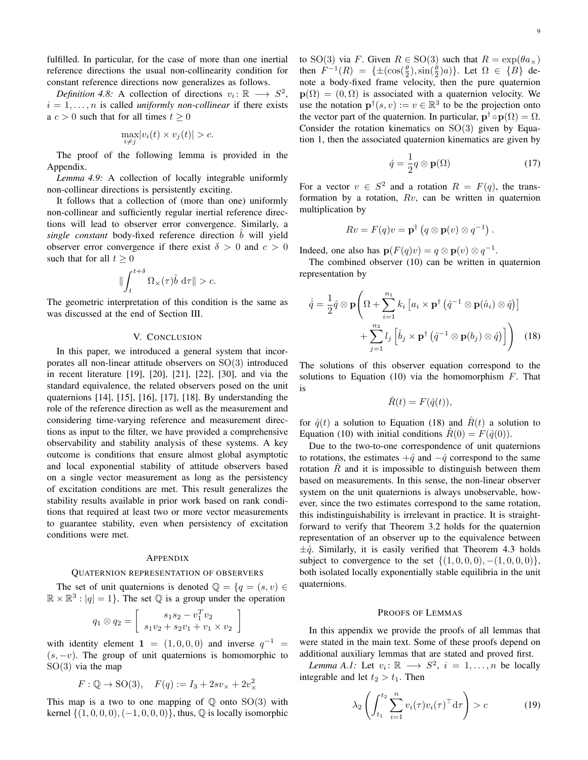fulfilled. In particular, for the case of more than one inertial reference directions the usual non-collinearity condition for constant reference directions now generalizes as follows.

*Definition 4.8:* A collection of directions  $v_i: \mathbb{R} \longrightarrow S^2$ ,  $i = 1, \ldots, n$  is called *uniformly non-collinear* if there exists a  $c > 0$  such that for all times  $t \ge 0$ 

$$
\max_{i \neq j} |v_i(t) \times v_j(t)| > c.
$$

The proof of the following lemma is provided in the Appendix.

*Lemma 4.9:* A collection of locally integrable uniformly non-collinear directions is persistently exciting.

It follows that a collection of (more than one) uniformly non-collinear and sufficiently regular inertial reference directions will lead to observer error convergence. Similarly, a *single constant* body-fixed reference direction *b* will yield observer error convergence if there exist  $\delta > 0$  and  $c > 0$ such that for all  $t \geq 0$ 

$$
\|\int_t^{t+\delta} \Omega_\times(\tau)\mathring{b}\, d\tau\| > c.
$$

The geometric interpretation of this condition is the same as was discussed at the end of Section III.

# V. CONCLUSION

In this paper, we introduced a general system that incorporates all non-linear attitude observers on SO(3) introduced in recent literature [19], [20], [21], [22], [30], and via the standard equivalence, the related observers posed on the unit quaternions [14], [15], [16], [17], [18]. By understanding the role of the reference direction as well as the measurement and considering time-varying reference and measurement directions as input to the filter, we have provided a comprehensive observability and stability analysis of these systems. A key outcome is conditions that ensure almost global asymptotic and local exponential stability of attitude observers based on a single vector measurement as long as the persistency of excitation conditions are met. This result generalizes the stability results available in prior work based on rank conditions that required at least two or more vector measurements to guarantee stability, even when persistency of excitation conditions were met.

#### APPENDIX

#### QUATERNION REPRESENTATION OF OBSERVERS

The set of unit quaternions is denoted  $\mathbb{Q} = \{q = (s, v) \in$  $\mathbb{R} \times \mathbb{R}^3$ :  $|q| = 1$ . The set  $\mathbb Q$  is a group under the operation

$$
q_1 \otimes q_2 = \left[ \begin{array}{c} s_1 s_2 - v_1^T v_2 \\ s_1 v_2 + s_2 v_1 + v_1 \times v_2 \end{array} \right]
$$

with identity element 1 =  $(1,0,0,0)$  and inverse  $q^{-1}$  =  $(s, -v)$ . The group of unit quaternions is homomorphic to  $SO(3)$  via the map

$$
F: \mathbb{Q} \to \text{SO}(3), \quad F(q) := I_3 + 2sv_x + 2v_x^2
$$

This map is a two to one mapping of  $\mathbb Q$  onto  $SO(3)$  with kernel  ${(1, 0, 0, 0), (-1, 0, 0, 0)}$ , thus, ℚ is locally isomorphic to SO(3) via F. Given  $R \in SO(3)$  such that  $R = \exp(\theta a_{\times})$ then  $F^{-1}(R) = {\pm(\cos(\frac{\theta}{2}), \sin(\frac{\theta}{2})a)}$ . Let  $\Omega \in {B}$  denote a body-fixed frame velocity, then the pure quaternion  $p(\Omega) = (0, \Omega)$  is associated with a quaternion velocity. We use the notation  $\mathbf{p}^{\dagger}(s, v) := v \in \mathbb{R}^{3}$  to be the projection onto the vector part of the quaternion. In particular,  $\mathbf{p}^{\dagger} \circ \mathbf{p}(\Omega) = \Omega$ . Consider the rotation kinematics on  $SO(3)$  given by Equation 1, then the associated quaternion kinematics are given by

$$
\dot{q} = \frac{1}{2}q \otimes \mathbf{p}(\Omega) \tag{17}
$$

For a vector  $v \in S^2$  and a rotation  $R = F(q)$ , the transformation by a rotation,  $Rv$ , can be written in quaternion multiplication by

$$
Rv = F(q)v = \mathbf{p}^{\dagger} (q \otimes \mathbf{p}(v) \otimes q^{-1}).
$$

Indeed, one also has  $\mathbf{p}(F(q)v) = q \otimes \mathbf{p}(v) \otimes q^{-1}$ .

The combined observer (10) can be written in quaternion representation by

$$
\dot{\hat{q}} = \frac{1}{2}\hat{q} \otimes \mathbf{p} \Bigg( \Omega + \sum_{i=1}^{n_1} k_i \left[ a_i \times \mathbf{p}^\dagger \left( \hat{q}^{-1} \otimes \mathbf{p}(\mathring{a}_i) \otimes \hat{q} \right) \right] + \sum_{j=1}^{n_2} l_j \left[ \mathring{b}_j \times \mathbf{p}^\dagger \left( \hat{q}^{-1} \otimes \mathbf{p}(b_j) \otimes \hat{q} \right) \right] \Bigg) \tag{18}
$$

The solutions of this observer equation correspond to the solutions to Equation (10) via the homomorphism  $F$ . That is

$$
\hat{R}(t) = F(\hat{q}(t)),
$$

for  $\hat{q}(t)$  a solution to Equation (18) and  $\hat{R}(t)$  a solution to Equation (10) with initial conditions  $\hat{R}(0) = F(\hat{q}(0))$ .

Due to the two-to-one correspondence of unit quaternions to rotations, the estimates  $+\hat{q}$  and  $-\hat{q}$  correspond to the same rotation  $\hat{R}$  and it is impossible to distinguish between them based on measurements. In this sense, the non-linear observer system on the unit quaternions is always unobservable, however, since the two estimates correspond to the same rotation, this indistinguishability is irrelevant in practice. It is straightforward to verify that Theorem 3.2 holds for the quaternion representation of an observer up to the equivalence between  $\pm \hat{q}$ . Similarly, it is easily verified that Theorem 4.3 holds subject to convergence to the set  $\{(1, 0, 0, 0), -(1, 0, 0, 0)\},\$ both isolated locally exponentially stable equilibria in the unit quaternions.

### PROOFS OF LEMMAS

In this appendix we provide the proofs of all lemmas that were stated in the main text. Some of these proofs depend on additional auxiliary lemmas that are stated and proved first.

*Lemma A.1*: Let  $v_i: \mathbb{R} \longrightarrow S^2$ ,  $i = 1, ..., n$  be locally integrable and let  $t_2 > t_1$ . Then

$$
\lambda_2 \left( \int_{t_1}^{t_2} \sum_{i=1}^n v_i(\tau) v_i(\tau)^\top \mathrm{d}\tau \right) > c \tag{19}
$$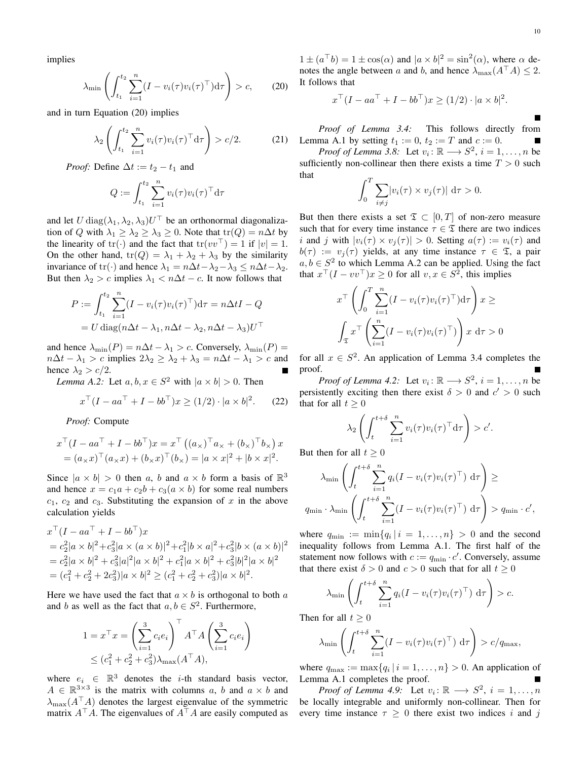implies

$$
\lambda_{\min} \left( \int_{t_1}^{t_2} \sum_{i=1}^n (I - v_i(\tau) v_i(\tau)^\top) d\tau \right) > c,
$$
 (20)

and in turn Equation (20) implies

$$
\lambda_2 \left( \int_{t_1}^{t_2} \sum_{i=1}^n v_i(\tau) v_i(\tau)^\top d\tau \right) > c/2.
$$
 (21)

*Proof:* Define  $\Delta t := t_2 - t_1$  and

$$
Q := \int_{t_1}^{t_2} \sum_{i=1}^n v_i(\tau) v_i(\tau)^\top d\tau
$$

and let  $U \text{diag}(\lambda_1, \lambda_2, \lambda_3) U^{\top}$  be an orthonormal diagonalization of Q with  $\lambda_1 \geq \lambda_2 \geq \lambda_3 \geq 0$ . Note that  $tr(Q) = n\Delta t$  by the linearity of tr(·) and the fact that  $tr(vv^{\top}) = 1$  if  $|v| = 1$ . On the other hand,  $tr(Q) = \lambda_1 + \lambda_2 + \lambda_3$  by the similarity invariance of tr(·) and hence  $\lambda_1 = n\Delta t - \lambda_2 - \lambda_3 \leq n\Delta t - \lambda_2$ . But then  $\lambda_2 > c$  implies  $\lambda_1 < n\Delta t - c$ . It now follows that

$$
P := \int_{t_1}^{t_2} \sum_{i=1}^{n} (I - v_i(\tau)v_i(\tau)^{\top}) d\tau = n\Delta t I - Q
$$

$$
= U \operatorname{diag}(n\Delta t - \lambda_1, n\Delta t - \lambda_2, n\Delta t - \lambda_3)U^{\top}
$$

and hence  $\lambda_{\min}(P) = n\Delta t - \lambda_1 > c$ . Conversely,  $\lambda_{\min}(P) =$  $n\Delta t - \lambda_1 > c$  implies  $2\lambda_2 \geq \lambda_2 + \lambda_3 = n\Delta t - \lambda_1 > c$  and hence  $\lambda_2 > c/2$ .

*Lemma A.2:* Let  $a, b, x \in S^2$  with  $|a \times b| > 0$ . Then

$$
x^{\top} (I - aa^{\top} + I - bb^{\top}) x \ge (1/2) \cdot |a \times b|^2. \tag{22}
$$

*Proof:* Compute

$$
x^{\top} (I - aa^{\top} + I - bb^{\top}) x = x^{\top} ((a_{\times})^{\top} a_{\times} + (b_{\times})^{\top} b_{\times}) x
$$
  
=  $(a_{\times} x)^{\top} (a_{\times} x) + (b_{\times} x)^{\top} (b_{\times}) = |a \times x|^2 + |b \times x|^2.$ 

Since  $|a \times b| > 0$  then a, b and  $a \times b$  form a basis of  $\mathbb{R}^3$ and hence  $x = c_1a + c_2b + c_3(a \times b)$  for some real numbers  $c_1$ ,  $c_2$  and  $c_3$ . Substituting the expansion of x in the above calculation yields

$$
x^{\top} (I - a a^{\top} + I - b b^{\top}) x
$$
  
=  $c_2^2 |a \times b|^2 + c_3^2 |a \times (a \times b)|^2 + c_1^2 |b \times a|^2 + c_3^2 |b \times (a \times b)|^2$   
=  $c_2^2 |a \times b|^2 + c_3^2 |a|^2 |a \times b|^2 + c_1^2 |a \times b|^2 + c_3^2 |b|^2 |a \times b|^2$   
=  $(c_1^2 + c_2^2 + 2c_3^2) |a \times b|^2 \ge (c_1^2 + c_2^2 + c_3^2) |a \times b|^2$ .

Here we have used the fact that  $a \times b$  is orthogonal to both a and b as well as the fact that  $a, b \in S^2$ . Furthermore,

$$
1 = x^{\top} x = \left(\sum_{i=1}^{3} c_i e_i\right)^{\top} A^{\top} A \left(\sum_{i=1}^{3} c_i e_i\right)
$$
  

$$
\leq (c_1^2 + c_2^2 + c_3^2) \lambda_{\text{max}} (A^{\top} A),
$$

where  $e_i \in \mathbb{R}^3$  denotes the *i*-th standard basis vector,  $A \in \mathbb{R}^{3 \times 3}$  is the matrix with columns a, b and  $a \times b$  and  $\lambda_{\text{max}}(A^{\top}A)$  denotes the largest eigenvalue of the symmetric matrix  $A^{\top}A$ . The eigenvalues of  $A^{\top}A$  are easily computed as

 $1 \pm (a^{\top}b) = 1 \pm \cos(\alpha)$  and  $|a \times b|^2 = \sin^2(\alpha)$ , where  $\alpha$  denotes the angle between a and b, and hence  $\lambda_{\max}(A^\top A) \leq 2$ . It follows that

$$
x^{\top} (I - aa^{\top} + I - bb^{\top}) x \ge (1/2) \cdot |a \times b|^2.
$$

*Proof of Lemma 3.4:* This follows directly from Lemma A.1 by setting  $t_1 := 0$ ,  $t_2 := T$  and  $c := 0$ .

*Proof of Lemma 3.8:* Let  $v_i: \mathbb{R} \longrightarrow S^2$ ,  $i = 1, \dots, n$  be sufficiently non-collinear then there exists a time  $T > 0$  such that

$$
\int_0^T \sum_{i \neq j} |v_i(\tau) \times v_j(\tau)| \, d\tau > 0.
$$

But then there exists a set  $\mathfrak{T} \subset [0,T]$  of non-zero measure such that for every time instance  $\tau \in \mathfrak{T}$  there are two indices i and j with  $|v_i(\tau) \times v_i(\tau)| > 0$ . Setting  $a(\tau) := v_i(\tau)$  and  $b(\tau) := v_i(\tau)$  yields, at any time instance  $\tau \in \mathfrak{T}$ , a pair  $a, b \in S^2$  to which Lemma A.2 can be applied. Using the fact that  $x^{\top}(I - vv^{\top})x \ge 0$  for all  $v, x \in S^2$ , this implies

$$
x^{\top} \left( \int_0^T \sum_{i=1}^n (I - v_i(\tau) v_i(\tau)^{\top}) d\tau \right) x \ge
$$

$$
\int_{\mathfrak{T}} x^{\top} \left( \sum_{i=1}^n (I - v_i(\tau) v_i(\tau)^{\top}) \right) x d\tau > 0
$$

for all  $x \in S^2$ . An application of Lemma 3.4 completes the proof.

*Proof of Lemma 4.2:* Let  $v_i: \mathbb{R} \longrightarrow S^2$ ,  $i = 1, \dots, n$  be persistently exciting then there exist  $\delta > 0$  and  $c' > 0$  such that for all  $t > 0$ 

$$
\lambda_2 \left( \int_t^{t+\delta} \sum_{i=1}^n v_i(\tau) v_i(\tau)^\top d\tau \right) > c'.
$$

But then for all  $t \geq 0$ 

$$
\lambda_{\min} \left( \int_t^{t+\delta} \sum_{i=1}^n q_i (I - v_i(\tau) v_i(\tau)^\top) d\tau \right) \ge
$$
  

$$
q_{\min} \cdot \lambda_{\min} \left( \int_t^{t+\delta} \sum_{i=1}^n (I - v_i(\tau) v_i(\tau)^\top) d\tau \right) > q_{\min} \cdot c',
$$

where  $q_{\min} := \min\{q_i \mid i = 1, \dots, n\} > 0$  and the second inequality follows from Lemma A.1. The first half of the statement now follows with  $c := q_{\min} \cdot c'$ . Conversely, assume that there exist  $\delta > 0$  and  $c > 0$  such that for all  $t \ge 0$ 

$$
\lambda_{\min} \left( \int_t^{t+\delta} \sum_{i=1}^n q_i (I - v_i(\tau) v_i(\tau)^\top) d\tau \right) > c.
$$

Then for all  $t \geq 0$ 

$$
\lambda_{\min} \left( \int_t^{t+\delta} \sum_{i=1}^n (I - v_i(\tau) v_i(\tau)^\top) d\tau \right) > c/q_{\max},
$$

where  $q_{\text{max}} := \max\{q_i \mid i = 1, \dots, n\} > 0$ . An application of Lemma A.1 completes the proof.

*Proof of Lemma 4.9:* Let  $v_i: \mathbb{R} \longrightarrow S^2$ ,  $i = 1, ..., n$ be locally integrable and uniformly non-collinear. Then for every time instance  $\tau \geq 0$  there exist two indices i and j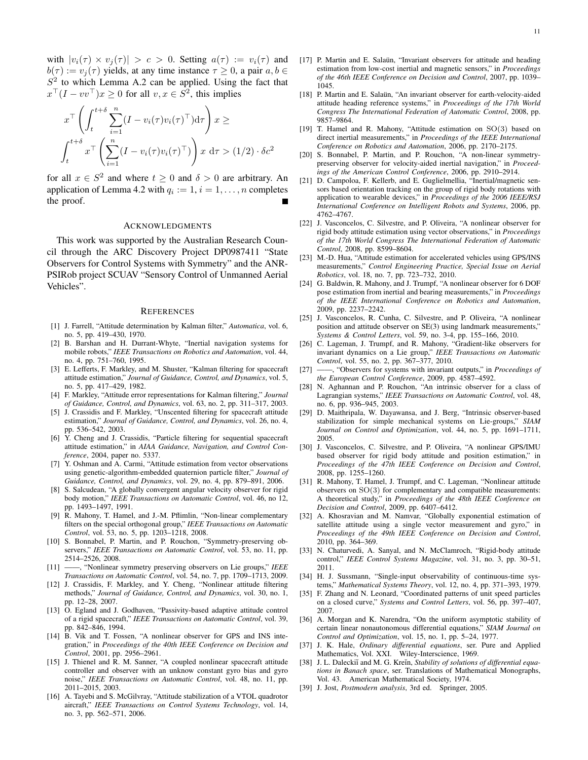with  $|v_i(\tau) \times v_i(\tau)| > c > 0$ . Setting  $a(\tau) := v_i(\tau)$  and  $b(\tau) := v_i(\tau)$  yields, at any time instance  $\tau \geq 0$ , a pair  $a, b \in$  $S<sup>2</sup>$  to which Lemma A.2 can be applied. Using the fact that  $x^{\top}(I - vv^{\top})x \ge 0$  for all  $v, x \in S^2$ , this implies

$$
x^{\top} \left( \int_{t}^{t+\delta} \sum_{i=1}^{n} (I - v_i(\tau) v_i(\tau)^{\top}) d\tau \right) x \ge
$$

$$
\int_{t}^{t+\delta} x^{\top} \left( \sum_{i=1}^{n} (I - v_i(\tau) v_i(\tau)^{\top}) \right) x d\tau > (1/2) \cdot \delta c^2
$$

for all  $x \in S^2$  and where  $t \geq 0$  and  $\delta > 0$  are arbitrary. An application of Lemma 4.2 with  $q_i := 1, i = 1, \ldots, n$  completes the proof.

# ACKNOWLEDGMENTS

This work was supported by the Australian Research Council through the ARC Discovery Project DP0987411 "State Observers for Control Systems with Symmetry" and the ANR-PSIRob project SCUAV "Sensory Control of Unmanned Aerial Vehicles".

#### **REFERENCES**

- [1] J. Farrell, "Attitude determination by Kalman filter," *Automatica*, vol. 6, no. 5, pp. 419–430, 1970.
- [2] B. Barshan and H. Durrant-Whyte, "Inertial navigation systems for mobile robots," *IEEE Transactions on Robotics and Automation*, vol. 44, no. 4, pp. 751–760, 1995.
- [3] E. Lefferts, F. Markley, and M. Shuster, "Kalman filtering for spacecraft attitude estimation," *Journal of Guidance, Control, and Dynamics*, vol. 5, no. 5, pp. 417–429, 1982.
- [4] F. Markley, "Attitude error representations for Kalman filtering," *Journal of Guidance, Control, and Dynamics*, vol. 63, no. 2, pp. 311–317, 2003.
- [5] J. Crassidis and F. Markley, "Unscented filtering for spacecraft attitude estimation," *Journal of Guidance, Control, and Dynamics*, vol. 26, no. 4, pp. 536–542, 2003.
- [6] Y. Cheng and J. Crassidis, "Particle filtering for sequential spacecraft attitude estimation," in *AIAA Guidance, Navigation, and Control Conference*, 2004, paper no. 5337.
- [7] Y. Oshman and A. Carmi, "Attitude estimation from vector observations using genetic-algorithm-embedded quaternion particle filter," *Journal of Guidance, Control, and Dynamics*, vol. 29, no. 4, pp. 879–891, 2006.
- [8] S. Salcudean, "A globally convergent angular velocity observer for rigid body motion," *IEEE Transactions on Automatic Control*, vol. 46, no 12, pp. 1493–1497, 1991.
- [9] R. Mahony, T. Hamel, and J.-M. Pflimlin, "Non-linear complementary filters on the special orthogonal group," *IEEE Transactions on Automatic Control*, vol. 53, no. 5, pp. 1203–1218, 2008.
- [10] S. Bonnabel, P. Martin, and P. Rouchon, "Symmetry-preserving observers," *IEEE Transactions on Automatic Control*, vol. 53, no. 11, pp. 2514–2526, 2008.
- [11] ——, "Nonlinear symmetry preserving observers on Lie groups," *IEEE Transactions on Automatic Control*, vol. 54, no. 7, pp. 1709–1713, 2009.
- [12] J. Crassidis, F. Markley, and Y. Cheng, "Nonlinear attitude filtering methods," *Journal of Guidance, Control, and Dynamics*, vol. 30, no. 1, pp. 12–28, 2007.
- [13] O. Egland and J. Godhaven, "Passivity-based adaptive attitude control of a rigid spacecraft," *IEEE Transactions on Automatic Control*, vol. 39, pp. 842–846, 1994.
- [14] B. Vik and T. Fossen, "A nonlinear observer for GPS and INS integration," in *Proceedings of the 40th IEEE Conference on Decision and Control*, 2001, pp. 2956–2961.
- [15] J. Thienel and R. M. Sanner, "A coupled nonlinear spacecraft attitude controller and observer with an unknow constant gyro bias and gyro noise," *IEEE Transactions on Automatic Control*, vol. 48, no. 11, pp. 2011–2015, 2003.
- [16] A. Tayebi and S. McGilvray, "Attitude stabilization of a VTOL quadrotor aircraft," *IEEE Transactions on Control Systems Technology*, vol. 14, no. 3, pp. 562–571, 2006.
- [17] P. Martin and E. Salaün, "Invariant observers for attitude and heading estimation from low-cost inertial and magnetic sensors," in *Proceedings of the 46th IEEE Conference on Decision and Control*, 2007, pp. 1039– 1045.
- [18] P. Martin and E. Salaün, "An invariant observer for earth-velocity-aided attitude heading reference systems," in *Proceedings of the 17th World Congress The International Federation of Automatic Control*, 2008, pp. 9857–9864.
- [19] T. Hamel and R. Mahony, "Attitude estimation on SO(3) based on direct inertial measurements," in *Proceedings of the IEEE International Conference on Robotics and Automation*, 2006, pp. 2170–2175.
- [20] S. Bonnabel, P. Martin, and P. Rouchon, "A non-linear symmetrypreserving observer for velocity-aided inertial navigation," in *Proceedings of the American Control Conference*, 2006, pp. 2910–2914.
- [21] D. Campoloa, F. Kellerb, and E. Guglielmellia, "Inertial/magnetic sensors based orientation tracking on the group of rigid body rotations with application to wearable devices," in *Proceedings of the 2006 IEEE/RSJ International Conference on Intelligent Robots and Systems*, 2006, pp. 4762–4767.
- [22] J. Vasconcelos, C. Silvestre, and P. Oliveira, "A nonlinear observer for rigid body attitude estimation using vector observations," in *Proceedings of the 17th World Congress The International Federation of Automatic Control*, 2008, pp. 8599–8604.
- [23] M.-D. Hua, "Attitude estimation for accelerated vehicles using GPS/INS measurements," *Control Engineering Practice, Special Issue on Aerial Robotics*, vol. 18, no. 7, pp. 723–732, 2010.
- [24] G. Baldwin, R. Mahony, and J. Trumpf, "A nonlinear observer for 6 DOF pose estimation from inertial and bearing measurements," in *Proceedings of the IEEE International Conference on Robotics and Automation*, 2009, pp. 2237–2242.
- [25] J. Vasconcelos, R. Cunha, C. Silvestre, and P. Oliveira, "A nonlinear position and attitude observer on SE(3) using landmark measurements," *Systems & Control Letters*, vol. 59, no. 3-4, pp. 155–166, 2010.
- [26] C. Lageman, J. Trumpf, and R. Mahony, "Gradient-like observers for invariant dynamics on a Lie group," *IEEE Transactions on Automatic Control*, vol. 55, no. 2, pp. 367–377, 2010.
- [27] ——, "Observers for systems with invariant outputs," in *Proceedings of the European Control Conference*, 2009, pp. 4587–4592.
- [28] N. Aghannan and P. Rouchon, "An intrinsic observer for a class of Lagrangian systems," *IEEE Transactions on Automatic Control*, vol. 48, no. 6, pp. 936–945, 2003.
- [29] D. Maithripala, W. Dayawansa, and J. Berg, "Intrinsic observer-based stabilization for simple mechanical systems on Lie-groups," *SIAM Journal on Control and Optimization*, vol. 44, no. 5, pp. 1691–1711, 2005.
- [30] J. Vasconcelos, C. Silvestre, and P. Oliveira, "A nonlinear GPS/IMU based observer for rigid body attitude and position estimation," in *Proceedings of the 47th IEEE Conference on Decision and Control*, 2008, pp. 1255–1260.
- [31] R. Mahony, T. Hamel, J. Trumpf, and C. Lageman, "Nonlinear attitude observers on SO(3) for complementary and compatible measurements: A theoretical study," in *Proceedings of the 48th IEEE Conference on Decision and Control*, 2009, pp. 6407–6412.
- [32] A. Khosravian and M. Namvar, "Globally exponential estimation of satellite attitude using a single vector measurement and gyro," in *Proceedings of the 49th IEEE Conference on Decision and Control*, 2010, pp. 364–369.
- [33] N. Chaturvedi, A. Sanyal, and N. McClamroch, "Rigid-body attitude control," *IEEE Control Systems Magazine*, vol. 31, no. 3, pp. 30–51, 2011.
- [34] H. J. Sussmann, "Single-input observability of continuous-time systems," *Mathematical Systems Theory*, vol. 12, no. 4, pp. 371–393, 1979.
- [35] F. Zhang and N. Leonard, "Coordinated patterns of unit speed particles on a closed curve," *Systems and Control Letters*, vol. 56, pp. 397–407, 2007.
- [36] A. Morgan and K. Narendra, "On the uniform asymptotic stability of certain linear nonautonomous differential equations," *SIAM Journal on Control and Optimization*, vol. 15, no. 1, pp. 5–24, 1977.
- [37] J. K. Hale, *Ordinary differential equations*, ser. Pure and Applied Mathematics, Vol. XXI. Wiley-Interscience, 1969.
- [38] J. L. Daleckiĭ and M. G. Kreĭn, *Stability of solutions of differential equations in Banach space*, ser. Translations of Mathematical Monographs, Vol. 43. American Mathematical Society, 1974.
- [39] J. Jost, *Postmodern analysis*, 3rd ed. Springer, 2005.